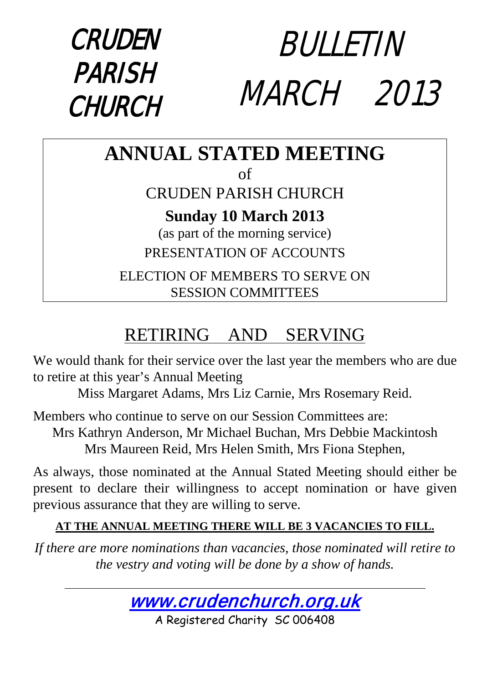#### CRUDEN PARISH **CHURCH** BULLETIN MARCH 2013

# **ANNUAL STATED MEETING**

of

### CRUDEN PARISH CHURCH

#### **Sunday 10 March 2013**

(as part of the morning service) PRESENTATION OF ACCOUNTS

ELECTION OF MEMBERS TO SERVE ON SESSION COMMITTEES

### RETIRING AND SERVING

We would thank for their service over the last year the members who are due to retire at this year's Annual Meeting

Miss Margaret Adams, Mrs Liz Carnie, Mrs Rosemary Reid.

Members who continue to serve on our Session Committees are: Mrs Kathryn Anderson, Mr Michael Buchan, Mrs Debbie Mackintosh Mrs Maureen Reid, Mrs Helen Smith, Mrs Fiona Stephen,

As always, those nominated at the Annual Stated Meeting should either be present to declare their willingness to accept nomination or have given previous assurance that they are willing to serve.

#### **AT THE ANNUAL MEETING THERE WILL BE 3 VACANCIES TO FILL.**

*If there are more nominations than vacancies, those nominated will retire to the vestry and voting will be done by a show of hands.*



A Registered Charity SC 006408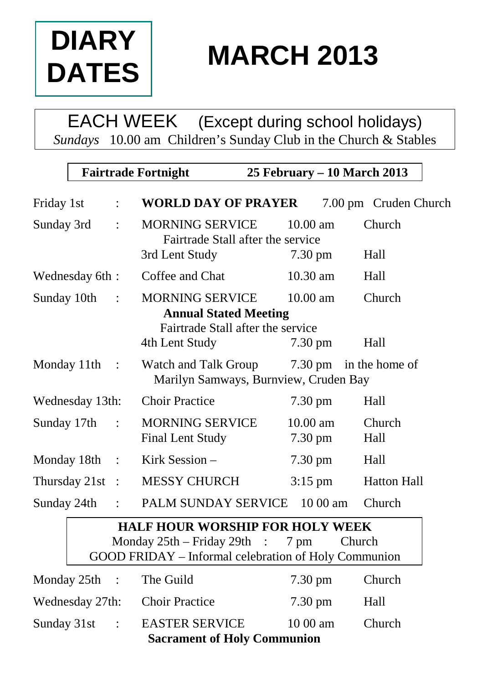

# **MARCH 2013**

EACH WEEK (Except during school holidays) *Sundays* 10.00 am Children's Sunday Club in the Church & Stables

|                   | <b>Fairtrade Fortnight</b> |                | 25 February - 10 March 2013                                                                                                       |      |                       |                        |
|-------------------|----------------------------|----------------|-----------------------------------------------------------------------------------------------------------------------------------|------|-----------------------|------------------------|
| Friday 1st        |                            | $\ddot{\cdot}$ | <b>WORLD DAY OF PRAYER</b>                                                                                                        |      |                       | 7.00 pm Cruden Church  |
| Sunday 3rd        |                            | $\ddot{\cdot}$ | <b>MORNING SERVICE</b><br>Fairtrade Stall after the service                                                                       |      | $10.00 \text{ am}$    | Church                 |
|                   |                            |                | 3rd Lent Study                                                                                                                    |      | $7.30 \text{ pm}$     | Hall                   |
| Wednesday 6th:    |                            |                | Coffee and Chat                                                                                                                   |      | 10.30 am              | Hall                   |
| Sunday 10th       |                            |                | <b>MORNING SERVICE</b><br><b>Annual Stated Meeting</b><br>Fairtrade Stall after the service                                       |      | 10.00 am              | Church                 |
|                   |                            |                | 4th Lent Study                                                                                                                    |      | $7.30 \text{ pm}$     | Hall                   |
| Monday 11th       |                            | $\mathbb{R}^2$ | Watch and Talk Group<br>Marilyn Samways, Burnview, Cruden Bay                                                                     |      |                       | 7.30 pm in the home of |
| Wednesday 13th:   |                            |                | <b>Choir Practice</b>                                                                                                             |      | $7.30 \text{ pm}$     | Hall                   |
| Sunday 17th       |                            | $\ddot{\cdot}$ | <b>MORNING SERVICE</b><br><b>Final Lent Study</b>                                                                                 |      | $10.00$ am<br>7.30 pm | Church<br>Hall         |
| Monday 18th :     |                            |                | Kirk Session -                                                                                                                    |      | $7.30 \text{ pm}$     | Hall                   |
| Thursday $21st$ : |                            |                | <b>MESSY CHURCH</b>                                                                                                               |      | $3:15$ pm             | <b>Hatton Hall</b>     |
| Sunday 24th       |                            | $\mathcal{L}$  | PALM SUNDAY SERVICE                                                                                                               |      | $1000$ am             | Church                 |
|                   |                            |                | <b>HALF HOUR WORSHIP FOR HOLY WEEK</b><br>Monday $25th$ – Friday $29th$ :<br>GOOD FRIDAY - Informal celebration of Holy Communion | 7 pm |                       | Church                 |
| Monday 25th       |                            | $\cdot$ :      | The Guild                                                                                                                         |      | $7.30 \text{ pm}$     | Church                 |
| Wednesday 27th:   |                            |                | <b>Choir Practice</b>                                                                                                             |      | $7.30 \text{ pm}$     | Hall                   |
| Sunday 31st       |                            | $\ddot{\cdot}$ | <b>EASTER SERVICE</b><br><b>Sacrament of Holy Communion</b>                                                                       |      | 10 00 am              | Church                 |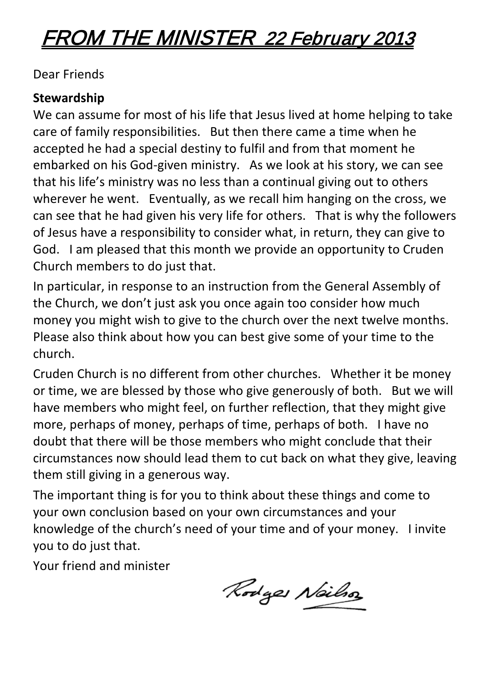## FROM THE MINISTER 22 February 2013

Dear Friends

#### **Stewardship**

We can assume for most of his life that Jesus lived at home helping to take care of family responsibilities. But then there came a time when he accepted he had a special destiny to fulfil and from that moment he embarked on his God-given ministry. As we look at his story, we can see that his life's ministry was no less than a continual giving out to others wherever he went. Eventually, as we recall him hanging on the cross, we can see that he had given his very life for others. That is why the followers of Jesus have a responsibility to consider what, in return, they can give to God. I am pleased that this month we provide an opportunity to Cruden Church members to do just that.

In particular, in response to an instruction from the General Assembly of the Church, we don't just ask you once again too consider how much money you might wish to give to the church over the next twelve months. Please also think about how you can best give some of your time to the church.

Cruden Church is no different from other churches. Whether it be money or time, we are blessed by those who give generously of both. But we will have members who might feel, on further reflection, that they might give more, perhaps of money, perhaps of time, perhaps of both. I have no doubt that there will be those members who might conclude that their circumstances now should lead them to cut back on what they give, leaving them still giving in a generous way.

The important thing is for you to think about these things and come to your own conclusion based on your own circumstances and your knowledge of the church's need of your time and of your money. I invite you to do just that.

Your friend and minister

Rodges Neilso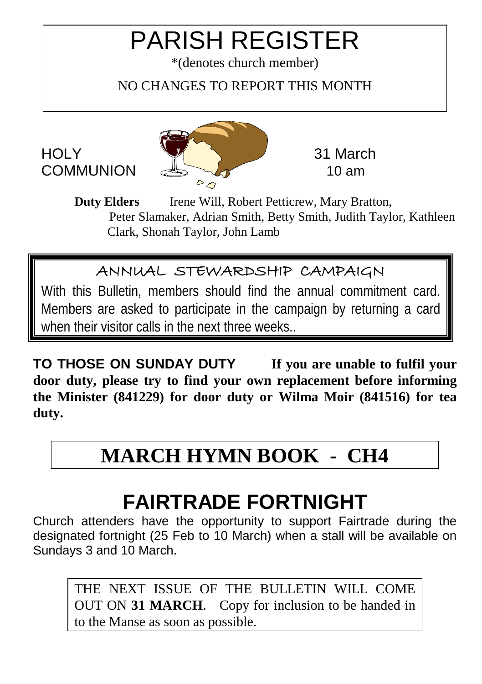## PARISH REGISTER

\*(denotes church member)

NO CHANGES TO REPORT THIS MONTH

## HOLY **WARD Structure** 31 March  $\triangle$

**Duty Elders** Irene Will, Robert Petticrew, Mary Bratton, Peter Slamaker, Adrian Smith, Betty Smith, Judith Taylor, Kathleen Clark, Shonah Taylor, John Lamb

#### ANNUAL STEWARDSHIP CAMPAIGN

With this Bulletin, members should find the annual commitment card. Members are asked to participate in the campaign by returning a card when their visitor calls in the next three weeks..

**TO THOSE ON SUNDAY DUTY If you are unable to fulfil your door duty, please try to find your own replacement before informing the Minister (841229) for door duty or Wilma Moir (841516) for tea duty.**

## **MARCH HYMN BOOK - CH4**

## **FAIRTRADE FORTNIGHT**

Church attenders have the opportunity to support Fairtrade during the designated fortnight (25 Feb to 10 March) when a stall will be available on Sundays 3 and 10 March.

THE NEXT ISSUE OF THE BULLETIN WILL COME OUT ON **31 MARCH**. Copy for inclusion to be handed in to the Manse as soon as possible.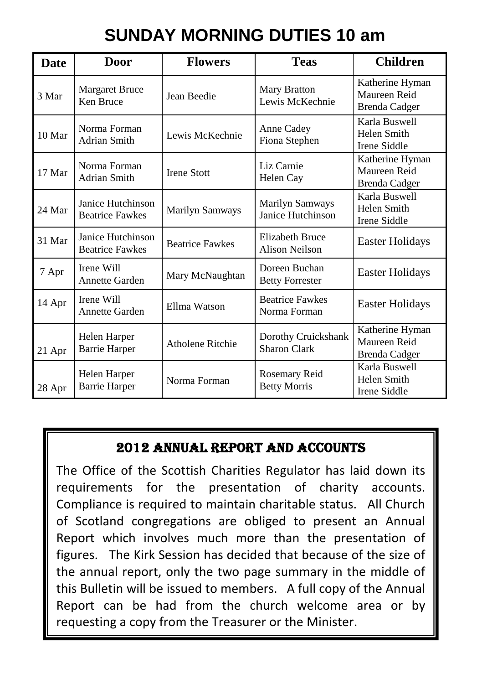### **SUNDAY MORNING DUTIES 10 am**

| <b>Date</b> | <b>Door</b>                                 | <b>Flowers</b>         | <b>Teas</b>                                | <b>Children</b>                                  |
|-------------|---------------------------------------------|------------------------|--------------------------------------------|--------------------------------------------------|
| 3 Mar       | Margaret Bruce<br>Ken Bruce                 | Jean Beedie            | Mary Bratton<br>Lewis McKechnie            | Katherine Hyman<br>Maureen Reid<br>Brenda Cadger |
| 10 Mar      | Norma Forman<br>Adrian Smith                | Lewis McKechnie        | Anne Cadey<br>Fiona Stephen                | Karla Buswell<br>Helen Smith<br>Irene Siddle     |
| 17 Mar      | Norma Forman<br>Adrian Smith                | <b>Irene Stott</b>     | Liz Carnie<br>Helen Cay                    | Katherine Hyman<br>Maureen Reid<br>Brenda Cadger |
| 24 Mar      | Janice Hutchinson<br><b>Beatrice Fawkes</b> | Marilyn Samways        | Marilyn Samways<br>Janice Hutchinson       | Karla Buswell<br>Helen Smith<br>Irene Siddle     |
| 31 Mar      | Janice Hutchinson<br><b>Beatrice Fawkes</b> | <b>Beatrice Fawkes</b> | Elizabeth Bruce<br>Alison Neilson          | Easter Holidays                                  |
| 7 Apr       | Irene Will<br><b>Annette Garden</b>         | Mary McNaughtan        | Doreen Buchan<br><b>Betty Forrester</b>    | Easter Holidays                                  |
| 14 Apr      | Irene Will<br>Annette Garden                | Ellma Watson           | <b>Beatrice Fawkes</b><br>Norma Forman     | Easter Holidays                                  |
| 21 Apr      | Helen Harper<br><b>Barrie Harper</b>        | Atholene Ritchie       | Dorothy Cruickshank<br><b>Sharon Clark</b> | Katherine Hyman<br>Maureen Reid<br>Brenda Cadger |
| 28 Apr      | Helen Harper<br><b>Barrie Harper</b>        | Norma Forman           | Rosemary Reid<br><b>Betty Morris</b>       | Karla Buswell<br>Helen Smith<br>Irene Siddle     |

#### 2012 ANNUAL REPORT AND ACCOUNTS

The Office of the Scottish Charities Regulator has laid down its requirements for the presentation of charity accounts. Compliance is required to maintain charitable status. All Church of Scotland congregations are obliged to present an Annual Report which involves much more than the presentation of figures. The Kirk Session has decided that because of the size of the annual report, only the two page summary in the middle of this Bulletin will be issued to members. A full copy of the Annual Report can be had from the church welcome area or by requesting a copy from the Treasurer or the Minister.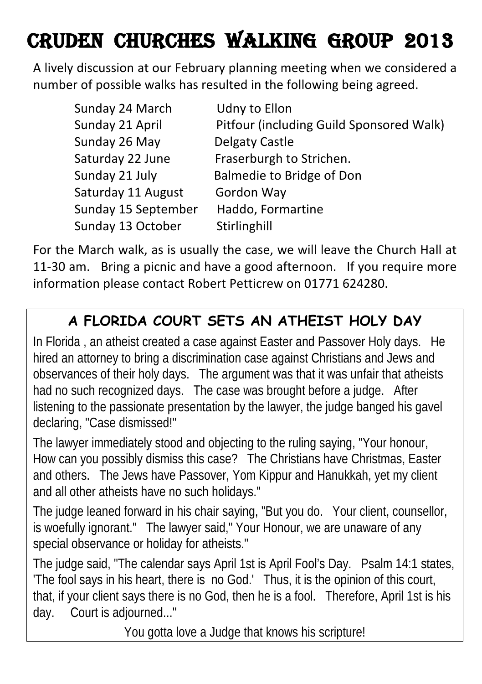## Cruden CHURCHes WALKing group 2013

A lively discussion at our February planning meeting when we considered a number of possible walks has resulted in the following being agreed.

| Sunday 24 March     | Udny to Ellon                            |
|---------------------|------------------------------------------|
| Sunday 21 April     | Pitfour (including Guild Sponsored Walk) |
| Sunday 26 May       | Delgaty Castle                           |
| Saturday 22 June    | Fraserburgh to Strichen.                 |
| Sunday 21 July      | Balmedie to Bridge of Don                |
| Saturday 11 August  | Gordon Way                               |
| Sunday 15 September | Haddo, Formartine                        |
| Sunday 13 October   | Stirlinghill                             |

For the March walk, as is usually the case, we will leave the Church Hall at 11-30 am. Bring a picnic and have a good afternoon. If you require more information please contact Robert Petticrew on 01771 624280.

#### **A FLORIDA COURT SETS AN ATHEIST HOLY DAY**

In Florida , an atheist created a case against Easter and Passover Holy days. He hired an attorney to bring a discrimination case against Christians and Jews and observances of their holy days. The argument was that it was unfair that atheists had no such recognized days. The case was brought before a judge. After listening to the passionate presentation by the lawyer, the judge banged his gavel declaring, "Case dismissed!"

The lawyer immediately stood and objecting to the ruling saying, "Your honour, How can you possibly dismiss this case? The Christians have Christmas, Easter and others. The Jews have Passover, Yom Kippur and Hanukkah, yet my client and all other atheists have no such holidays."

The judge leaned forward in his chair saying, "But you do. Your client, counsellor, is woefully ignorant." The lawyer said," Your Honour, we are unaware of any special observance or holiday for atheists."

The judge said, "The calendar says April 1st is April Fool's Day. Psalm 14:1 states, 'The fool says in his heart, there is no God.' Thus, it is the opinion of this court, that, if your client says there is no God, then he is a fool. Therefore, April 1st is his day. Court is adjourned..."

You gotta love a Judge that knows his scripture!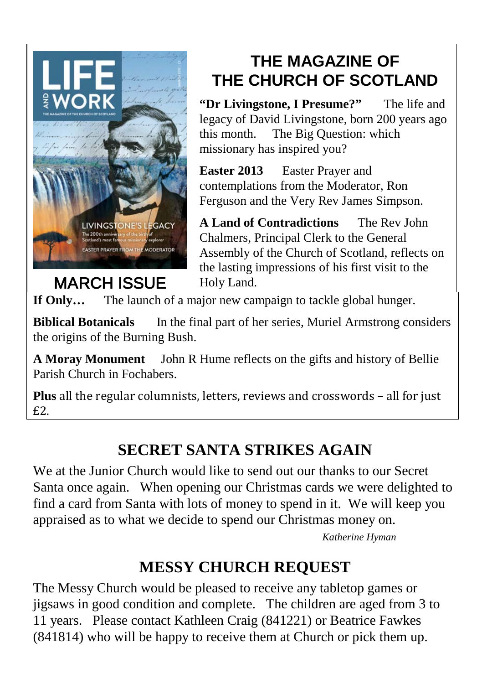

### **THE MAGAZINE OF THE CHURCH OF SCOTLAND**

**"Dr Livingstone, I Presume?"** The life and legacy of David Livingstone, born 200 years ago this month. The Big Question: which missionary has inspired you?

**Easter 2013** Easter Prayer and contemplations from the Moderator, Ron Ferguson and the Very Rev James Simpson.

**A Land of Contradictions** The Rev John Chalmers, Principal Clerk to the General Assembly of the Church of Scotland, reflects on the lasting impressions of his first visit to the Holy Land.

**If Only…** The launch of a major new campaign to tackle global hunger.

**Biblical Botanicals** In the final part of her series, Muriel Armstrong considers the origins of the Burning Bush.

**A Moray Monument** John R Hume reflects on the gifts and history of Bellie Parish Church in Fochabers.

**Plus** all the regular columnists, letters, reviews and crosswords – all for just £2.

#### **SECRET SANTA STRIKES AGAIN**

We at the Junior Church would like to send out our thanks to our Secret Santa once again. When opening our Christmas cards we were delighted to find a card from Santa with lots of money to spend in it. We will keep you appraised as to what we decide to spend our Christmas money on.

*Katherine Hyman*

#### **MESSY CHURCH REQUEST**

The Messy Church would be pleased to receive any tabletop games or jigsaws in good condition and complete. The children are aged from 3 to 11 years. Please contact Kathleen Craig (841221) or Beatrice Fawkes (841814) who will be happy to receive them at Church or pick them up.